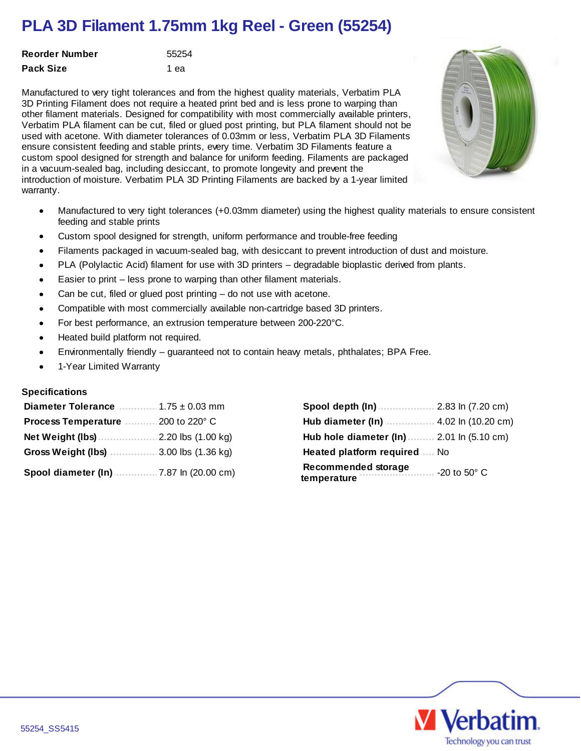## **PLA 3D Filament 1.75mm 1kg Reel - Green (55254)**

| Reorder Number | 55254 |
|----------------|-------|
| Pack Size      | 1 ea  |

Manufactured to very tight tolerances and from the highest quality materials, Verbatim PLA 3D Printing Filament does not require a heated print bed and is less prone to warping than other filament materials. Designed for compatibility with most commercially available printers, Verbatim PLA filament can be cut, filed or glued post printing, but PLA filament should not be used with acetone. With diameter tolerances of 0.03mm or less, Verbatim PLA 3D Filaments ensure consistent feeding and stable prints, every time. Verbatim 3D Filaments feature a custom spool designed for strength and balance for uniform feeding. Filaments are packaged in a vacuum-sealed bag, including desiccant, to promote longevity and prevent the introduction of moisture. Verbatim PLA 3D Printing Filaments are backed by a 1-year limited warranty.

- Manufactured to very tight tolerances (+0.03mm diameter) using the highest quality materials to ensure consistent  $\bullet$ feeding and stable prints
- Custom spool designed for strength, uniform performance and trouble-free feeding
- Filaments packaged in vacuum-sealed bag, with desiccant to prevent introduction of dust and moisture.
- PLA (Polylactic Acid) filament for use with 3D printers degradable bioplastic derived from plants.
- Easier to print less prone to warping than other filament materials.  $\bullet$
- Can be cut, filed or glued post printing do not use with acetone.  $\bullet$
- Compatible with most commercially available non-cartridge based 3D printers.
- For best performance, an extrusion temperature between 200-220°C.
- Heated build platform not required.
- Environmentally friendly guaranteed not to contain heavy metals, phthalates; BPA Free.  $\bullet$
- 1-Year Limited Warranty

## **Specifications**

| Diameter Tolerance                          | Spool depth (In)                                                      |
|---------------------------------------------|-----------------------------------------------------------------------|
| $1.75 \pm 0.03$ mm                          | 2.83 ln (7.20 cm)                                                     |
| 200 to 220° C                               | .4.02 ln (10.20 cm)                                                   |
| <b>Process Temperature</b>                  | Hub diameter (In)                                                     |
| $2.20$ lbs $(1.00$ kg)                      | Hub hole diameter (In)                                                |
| Net Weight (lbs)                            | 2.01 ln (5.10 cm)                                                     |
| <b>Gross Weight (lbs)</b>                   | <b>Heated platform required</b>                                       |
| $3.00$ lbs $(1.36$ kg)                      | No                                                                    |
| .7.87 ln (20.00 cm)<br>Spool diameter (In). | <b>Recommended storage</b><br>$-20$ to 50 $^{\circ}$ C<br>temperature |